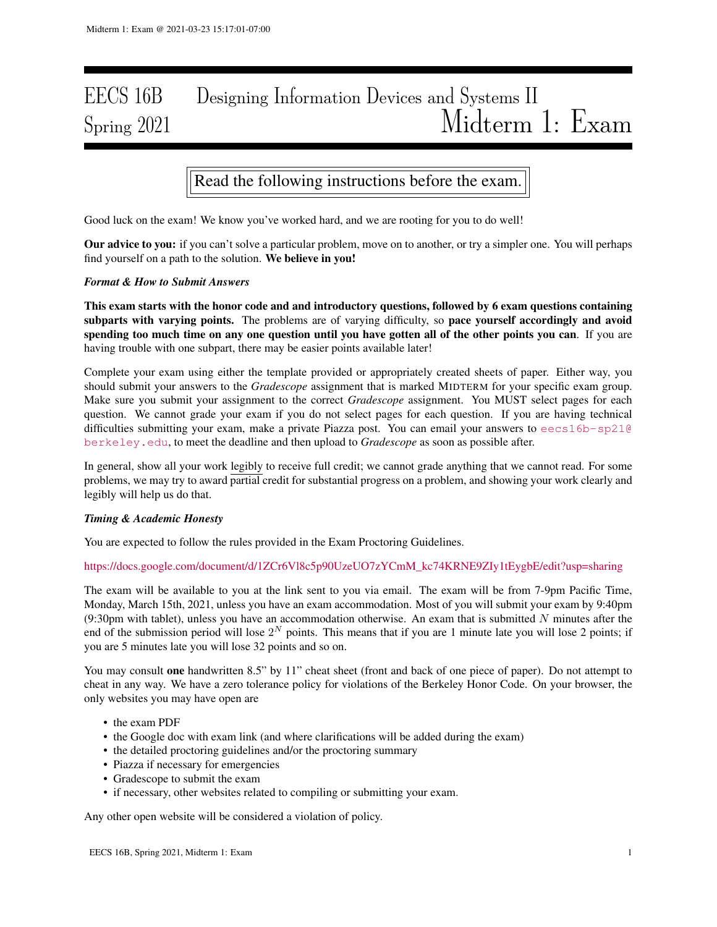# EECS 16B Designing Information Devices and Systems II Spring 2021 Midterm 1: Exam

# Read the following instructions before the exam.

Good luck on the exam! We know you've worked hard, and we are rooting for you to do well!

Our advice to you: if you can't solve a particular problem, move on to another, or try a simpler one. You will perhaps find yourself on a path to the solution. We believe in you!

## *Format & How to Submit Answers*

This exam starts with the honor code and and introductory questions, followed by 6 exam questions containing subparts with varying points. The problems are of varying difficulty, so pace yourself accordingly and avoid spending too much time on any one question until you have gotten all of the other points you can. If you are having trouble with one subpart, there may be easier points available later!

Complete your exam using either the template provided or appropriately created sheets of paper. Either way, you should submit your answers to the *Gradescope* assignment that is marked MIDTERM for your specific exam group. Make sure you submit your assignment to the correct *Gradescope* assignment. You MUST select pages for each question. We cannot grade your exam if you do not select pages for each question. If you are having technical difficulties submitting your exam, make a private Piazza post. You can email your answers to eecs16b-sp210 berkeley.edu, to meet the deadline and then upload to *Gradescope* as soon as possible after.

In general, show all your work legibly to receive full credit; we cannot grade anything that we cannot read. For some problems, we may try to award partial credit for substantial progress on a problem, and showing your work clearly and legibly will help us do that.

#### *Timing & Academic Honesty*

You are expected to follow the rules provided in the Exam Proctoring Guidelines.

#### https://docs.google.com/document/d/1ZCr6Vl8c5p90UzeUO7zYCmM\_kc74KRNE9ZIy1tEygbE/edit?usp=sharing

The exam will be available to you at the link sent to you via email. The exam will be from 7-9pm Pacific Time, Monday, March 15th, 2021, unless you have an exam accommodation. Most of you will submit your exam by 9:40pm (9:30pm with tablet), unless you have an accommodation otherwise. An exam that is submitted  $N$  minutes after the end of the submission period will lose  $2^N$  points. This means that if you are 1 minute late you will lose 2 points; if you are 5 minutes late you will lose 32 points and so on.

You may consult one handwritten 8.5" by 11" cheat sheet (front and back of one piece of paper). Do not attempt to cheat in any way. We have a zero tolerance policy for violations of the Berkeley Honor Code. On your browser, the only websites you may have open are

- the exam PDF
- the Google doc with exam link (and where clarifications will be added during the exam)
- the detailed proctoring guidelines and/or the proctoring summary
- Piazza if necessary for emergencies
- Gradescope to submit the exam
- if necessary, other websites related to compiling or submitting your exam.

Any other open website will be considered a violation of policy.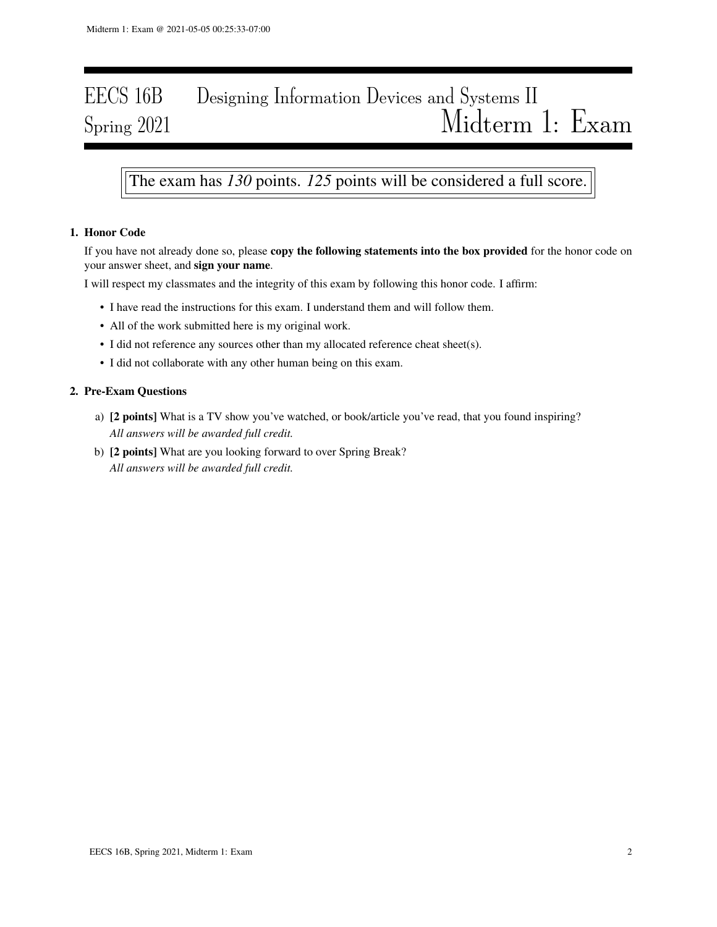# EECS 16B Designing Information Devices and Systems II Spring 2021 Midterm 1: Exam

# The exam has *130* points. *125* points will be considered a full score.

# 1. Honor Code

If you have not already done so, please copy the following statements into the box provided for the honor code on your answer sheet, and sign your name.

I will respect my classmates and the integrity of this exam by following this honor code. I affirm:

- I have read the instructions for this exam. I understand them and will follow them.
- All of the work submitted here is my original work.
- I did not reference any sources other than my allocated reference cheat sheet(s).
- I did not collaborate with any other human being on this exam.

## 2. Pre-Exam Questions

- a) [2 points] What is a TV show you've watched, or book/article you've read, that you found inspiring? *All answers will be awarded full credit.*
- b) [2 points] What are you looking forward to over Spring Break? *All answers will be awarded full credit.*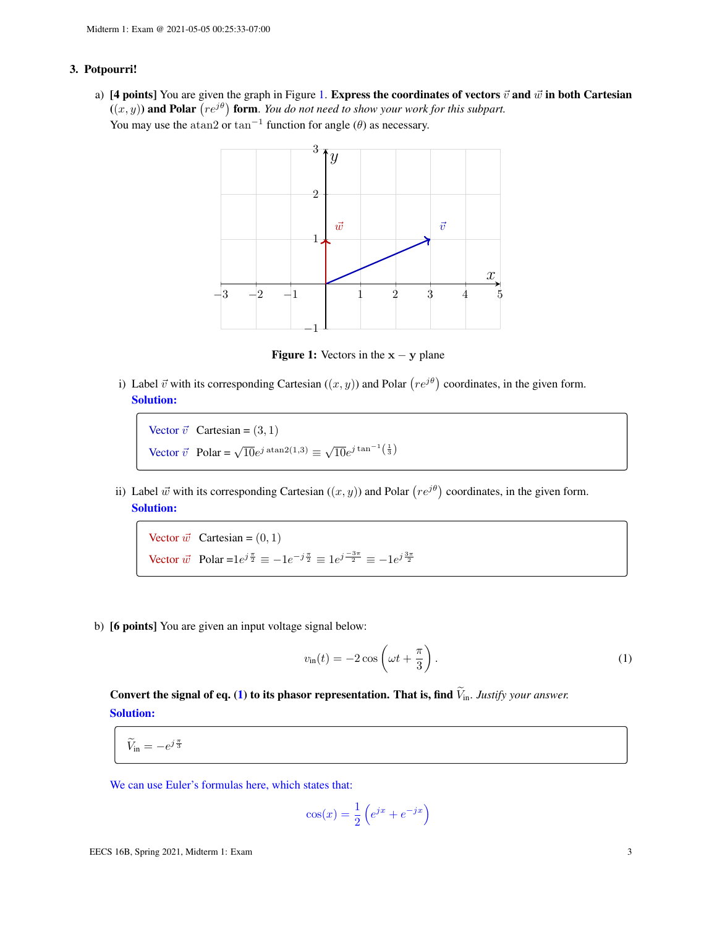#### 3. Potpourri!

<span id="page-2-0"></span>a) [4 points] You are given the graph in Figure [1.](#page-2-0) Express the coordinates of vectors  $\vec{v}$  and  $\vec{w}$  in both Cartesian  $((x, y))$  and Polar  $(re^{j\theta})$  form. *You do not need to show your work for this subpart.* You may use the atan2 or tan<sup>-1</sup> function for angle  $(\theta)$  as necessary.



**Figure 1:** Vectors in the  $x - y$  plane

i) Label  $\vec{v}$  with its corresponding Cartesian  $((x, y))$  and Polar  $(re^{j\theta})$  coordinates, in the given form. Solution:

Vector  $\vec{v}$  Cartesian = (3, 1) Vector  $\vec{v}$  Polar =  $\sqrt{10}e^{j \operatorname{atan2}(1,3)} \equiv \sqrt{10}$  $\overline{10}e^{j\tan^{-1}\left(\frac{1}{3}\right)}$ 

ii) Label  $\vec{w}$  with its corresponding Cartesian  $((x, y))$  and Polar  $(re^{j\theta})$  coordinates, in the given form. Solution:

Vector  $\vec{w}$  Cartesian =  $(0, 1)$ Vector  $\vec{w}$  Polar =  $1e^{j\frac{\pi}{2}} \equiv -1e^{-j\frac{\pi}{2}} \equiv 1e^{j\frac{-3\pi}{2}} \equiv -1e^{j\frac{3\pi}{2}}$ 

b) [6 points] You are given an input voltage signal below:

<span id="page-2-1"></span>
$$
v_{\rm in}(t) = -2\cos\left(\omega t + \frac{\pi}{3}\right). \tag{1}
$$

Convert the signal of eq. [\(1\)](#page-2-1) to its phasor representation. That is, find  $\tilde{V}_{in}$ . *Justify your answer.* Solution:

 $\widetilde{V}_{\text{in}} = -e^{j\frac{\pi}{3}}$ 

We can use Euler's formulas here, which states that:

$$
\cos(x) = \frac{1}{2} \left( e^{jx} + e^{-jx} \right)
$$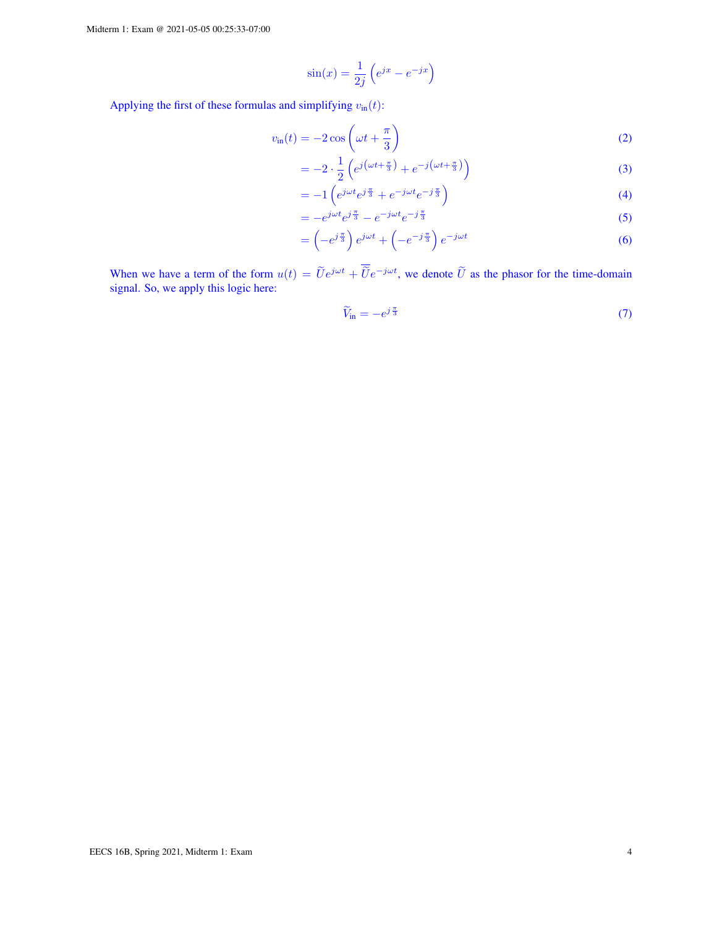$$
\sin(x) = \frac{1}{2j} \left( e^{jx} - e^{-jx} \right)
$$

Applying the first of these formulas and simplifying  $v_{\text{in}}(t)$ :

$$
v_{\rm in}(t) = -2\cos\left(\omega t + \frac{\pi}{3}\right) \tag{2}
$$

$$
= -2 \cdot \frac{1}{2} \left( e^{j \left(\omega t + \frac{\pi}{3}\right)} + e^{-j \left(\omega t + \frac{\pi}{3}\right)} \right) \tag{3}
$$

$$
= -1 \left( e^{j\omega t} e^{j\frac{\pi}{3}} + e^{-j\omega t} e^{-j\frac{\pi}{3}} \right)
$$
\n
$$
= -e^{j\omega t} e^{j\frac{\pi}{3}} - e^{-j\omega t} e^{-j\frac{\pi}{3}}
$$
\n(4)

$$
= -e^{j\omega t}e^{j\frac{\pi}{3}} - e^{-j\omega t}e^{-j\frac{\pi}{3}}
$$
(5)  

$$
= \left(-e^{j\frac{\pi}{3}}\right)e^{j\omega t} + \left(-e^{-j\frac{\pi}{3}}\right)e^{-j\omega t}
$$
(6)

$$
= \left(-e^{j\frac{\pi}{3}}\right)e^{j\omega t} + \left(-e^{-j\frac{\pi}{3}}\right)e^{-j\omega t} \tag{6}
$$

When we have a term of the form  $u(t) = \tilde{U}e^{j\omega t} + \tilde{U}e^{-j\omega t}$ , we denote  $\tilde{U}$  as the phasor for the time-domain signal. So, we apply this logic here:

$$
\widetilde{V}_{\text{in}} = -e^{j\frac{\pi}{3}}\tag{7}
$$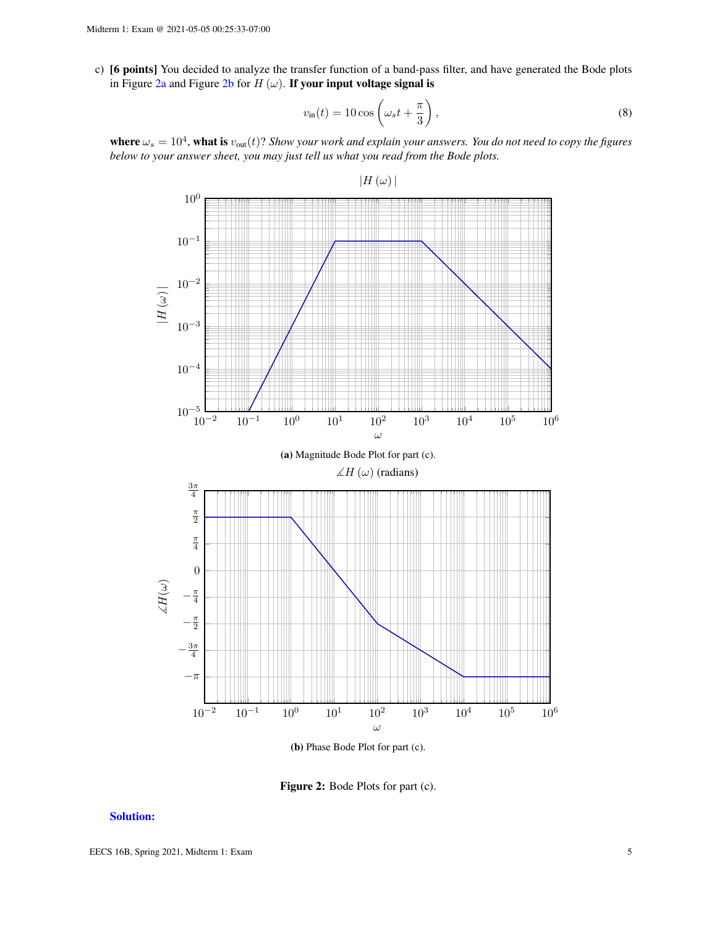c) [6 points] You decided to analyze the transfer function of a band-pass filter, and have generated the Bode plots in Figure [2a](#page-4-0) and Figure [2b](#page-4-0) for  $H(\omega)$ . If your input voltage signal is

$$
v_{\rm in}(t) = 10 \cos \left(\omega_s t + \frac{\pi}{3}\right),\tag{8}
$$

<span id="page-4-0"></span>where  $\omega_s = 10^4$ , what is  $v_{\text{out}}(t)$ ? *Show your work and explain your answers. You do not need to copy the figures below to your answer sheet, you may just tell us what you read from the Bode plots.*



Figure 2: Bode Plots for part (c).

#### Solution: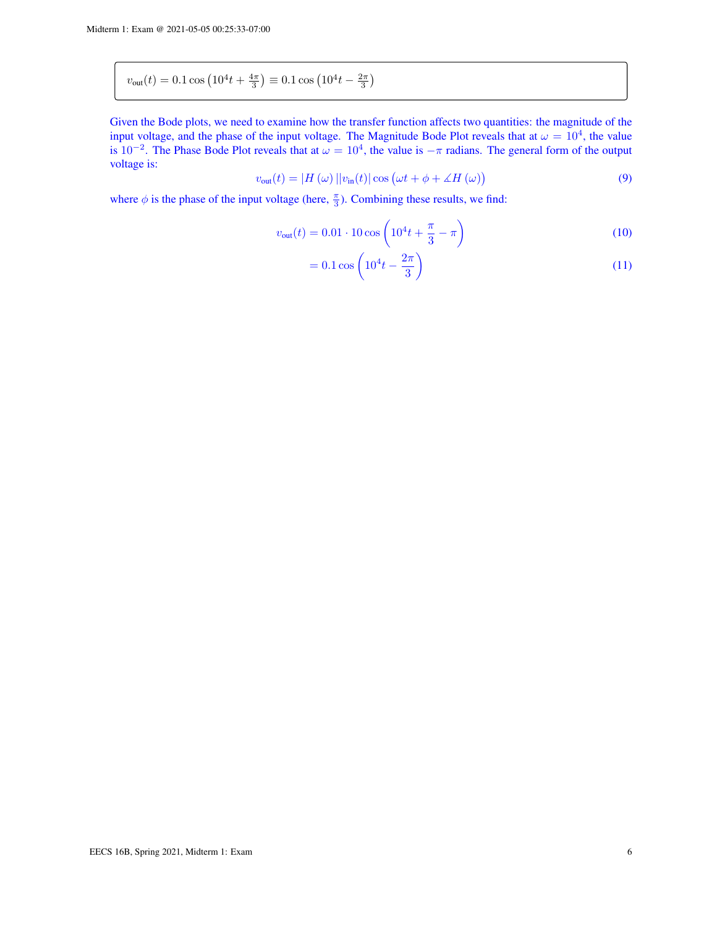$$
v_{\text{out}}(t) = 0.1 \cos \left( 10^4 t + \frac{4\pi}{3} \right) \equiv 0.1 \cos \left( 10^4 t - \frac{2\pi}{3} \right)
$$

Given the Bode plots, we need to examine how the transfer function affects two quantities: the magnitude of the input voltage, and the phase of the input voltage. The Magnitude Bode Plot reveals that at  $\omega = 10^4$ , the value is 10<sup>-2</sup>. The Phase Bode Plot reveals that at  $\omega = 10^4$ , the value is  $-\pi$  radians. The general form of the output voltage is:

$$
v_{\text{out}}(t) = |H(\omega)| |v_{\text{in}}(t)| \cos (\omega t + \phi + \measuredangle H(\omega))
$$
\n(9)

where  $\phi$  is the phase of the input voltage (here,  $\frac{\pi}{3}$ ). Combining these results, we find:

$$
v_{\text{out}}(t) = 0.01 \cdot 10 \cos \left( 10^4 t + \frac{\pi}{3} - \pi \right) \tag{10}
$$

$$
= 0.1 \cos \left( 10^4 t - \frac{2\pi}{3} \right) \tag{11}
$$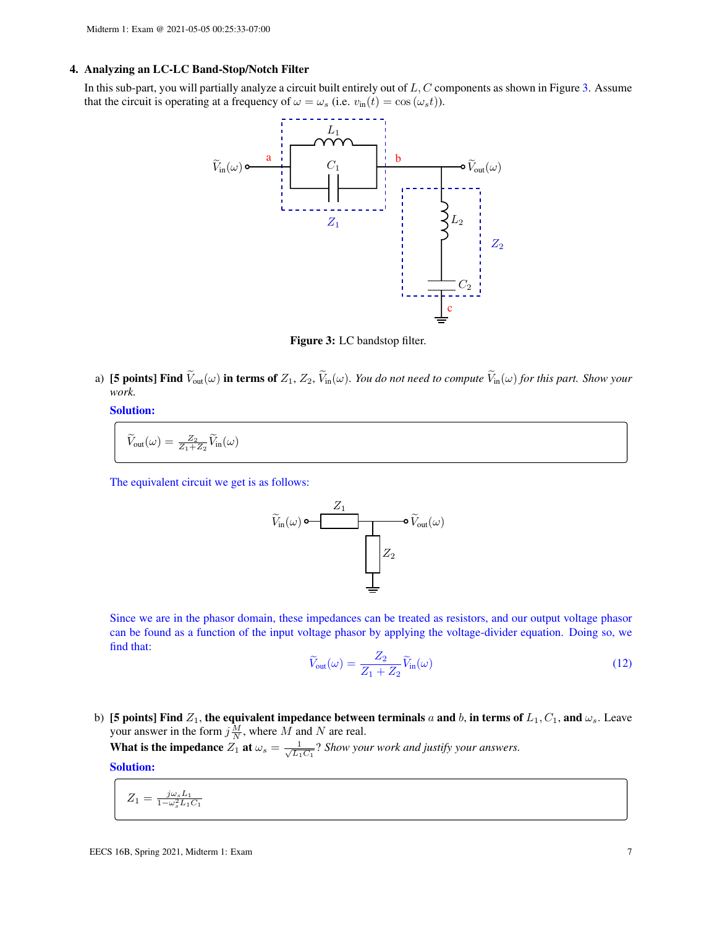#### 4. Analyzing an LC-LC Band-Stop/Notch Filter

<span id="page-6-0"></span>In this sub-part, you will partially analyze a circuit built entirely out of  $L, C$  components as shown in Figure [3.](#page-6-0) Assume that the circuit is operating at a frequency of  $\omega = \omega_s$  (i.e.  $v_{\text{in}}(t) = \cos(\omega_s t)$ ).





a) [5 points] Find  $\widetilde{V}_{out}(\omega)$  in terms of  $Z_1, Z_2, \widetilde{V}_{in}(\omega)$ . *You do not need to compute*  $\widetilde{V}_{in}(\omega)$  *for this part. Show your work.*

## Solution:

$$
\widetilde{V}_{\text{out}}(\omega) = \frac{Z_2}{Z_1 + Z_2} \widetilde{V}_{\text{in}}(\omega)
$$

The equivalent circuit we get is as follows:



Since we are in the phasor domain, these impedances can be treated as resistors, and our output voltage phasor can be found as a function of the input voltage phasor by applying the voltage-divider equation. Doing so, we find that:

$$
\widetilde{V}_{\text{out}}(\omega) = \frac{Z_2}{Z_1 + Z_2} \widetilde{V}_{\text{in}}(\omega)
$$
\n(12)

b) [5 points] Find  $Z_1$ , the equivalent impedance between terminals a and b, in terms of  $L_1, C_1$ , and  $\omega_s$ . Leave your answer in the form  $j\frac{M}{N}$ , where M and N are real.

What is the impedance  $Z_1$  at  $\omega_s = \frac{1}{\sqrt{L_1}}$  $\frac{1}{L_1C_1}$ ? *Show your work and justify your answers.* Solution:

$$
Z_1 = \frac{j\omega_s L_1}{1 - \omega_s^2 L_1 C_1}
$$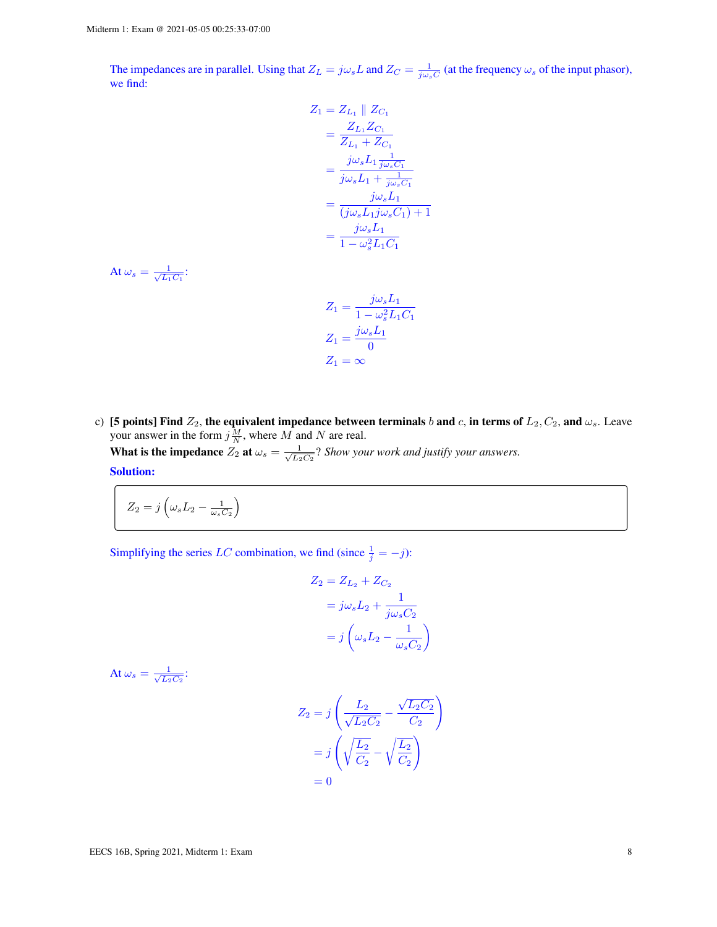The impedances are in parallel. Using that  $Z_L = j\omega_s L$  and  $Z_C = \frac{1}{j\omega_s C}$  (at the frequency  $\omega_s$  of the input phasor), we find:

$$
Z_1 = Z_{L_1} || Z_{C_1}
$$
  
=  $\frac{Z_{L_1} Z_{C_1}}{Z_{L_1} + Z_{C_1}}$   
=  $\frac{j\omega_s L_1 \frac{1}{j\omega_s C_1}}{j\omega_s L_1 + \frac{1}{j\omega_s C_1}}$   
=  $\frac{j\omega_s L_1}{(j\omega_s L_1 j\omega_s C_1) + 1}$   
=  $\frac{j\omega_s L_1}{1 - \omega_s^2 L_1 C_1}$ 

At  $\omega_s = \frac{1}{\sqrt{L_0}}$  $\frac{1}{L_1C_1}$ :

$$
Z_1 = \frac{j\omega_s L_1}{1 - \omega_s^2 L_1 C_1}
$$

$$
Z_1 = \frac{j\omega_s L_1}{0}
$$

$$
Z_1 = \infty
$$

c) [5 points] Find  $Z_2$ , the equivalent impedance between terminals  $b$  and  $c$ , in terms of  $L_2, C_2,$  and  $\omega_s$ . Leave your answer in the form  $j\frac{M}{N}$ , where M and N are real.

What is the impedance  $Z_2$  at  $\omega_s = \frac{1}{\sqrt{L_s}}$  $\frac{1}{L_2C_2}$ ? *Show your work and justify your answers.* Solution:

$$
Z_2 = j\left(\omega_s L_2 - \frac{1}{\omega_s C_2}\right)
$$

Simplifying the series LC combination, we find (since  $\frac{1}{j} = -j$ ):

$$
Z_2 = Z_{L_2} + Z_{C_2}
$$
  
=  $j\omega_s L_2 + \frac{1}{j\omega_s C_2}$   
=  $j\left(\omega_s L_2 - \frac{1}{\omega_s C_2}\right)$ 

At  $\omega_s = \frac{1}{\sqrt{L_s}}$  $\frac{1}{L_2C_2}$ :

$$
Z_2 = j \left( \frac{L_2}{\sqrt{L_2 C_2}} - \frac{\sqrt{L_2 C_2}}{C_2} \right)
$$

$$
= j \left( \sqrt{\frac{L_2}{C_2}} - \sqrt{\frac{L_2}{C_2}} \right)
$$

$$
= 0
$$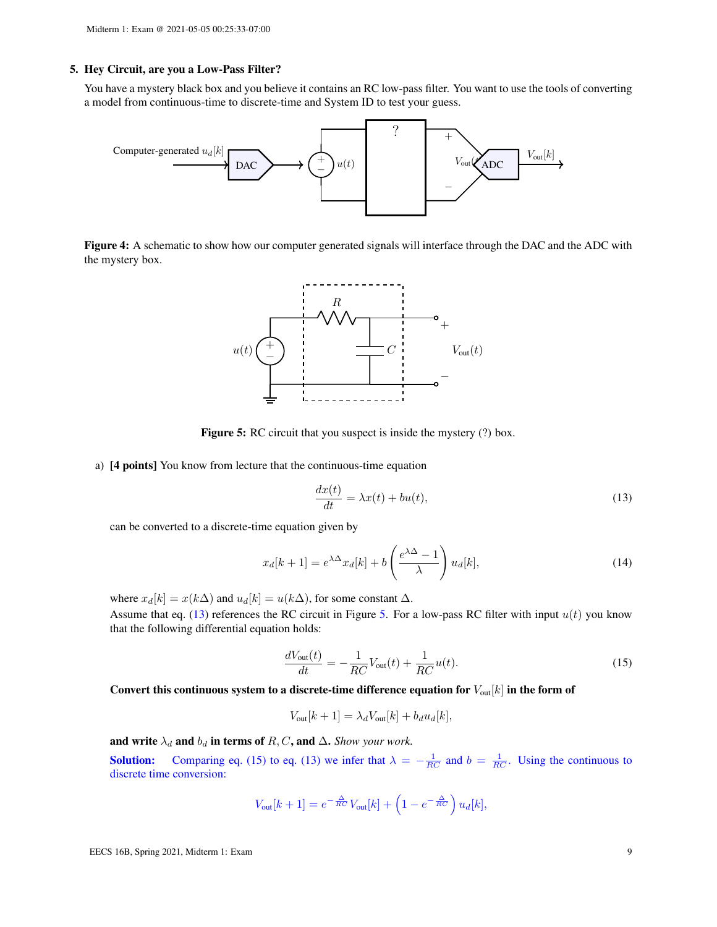#### 5. Hey Circuit, are you a Low-Pass Filter?

You have a mystery black box and you believe it contains an RC low-pass filter. You want to use the tools of converting a model from continuous-time to discrete-time and System ID to test your guess.



<span id="page-8-1"></span>Figure 4: A schematic to show how our computer generated signals will interface through the DAC and the ADC with the mystery box.



Figure 5: RC circuit that you suspect is inside the mystery (?) box.

#### a) [4 points] You know from lecture that the continuous-time equation

<span id="page-8-0"></span>
$$
\frac{dx(t)}{dt} = \lambda x(t) + bu(t),\tag{13}
$$

can be converted to a discrete-time equation given by

$$
x_d[k+1] = e^{\lambda \Delta} x_d[k] + b\left(\frac{e^{\lambda \Delta} - 1}{\lambda}\right) u_d[k],\tag{14}
$$

where  $x_d[k] = x(k\Delta)$  and  $u_d[k] = u(k\Delta)$ , for some constant  $\Delta$ .

Assume that eq. [\(13\)](#page-8-0) references the RC circuit in Figure [5.](#page-8-1) For a low-pass RC filter with input  $u(t)$  you know that the following differential equation holds:

<span id="page-8-2"></span>
$$
\frac{dV_{\text{out}}(t)}{dt} = -\frac{1}{RC}V_{\text{out}}(t) + \frac{1}{RC}u(t).
$$
\n(15)

Convert this continuous system to a discrete-time difference equation for  $V_{\text{out}}[k]$  in the form of

$$
V_{\text{out}}[k+1] = \lambda_d V_{\text{out}}[k] + b_d u_d[k],
$$

and write  $\lambda_d$  and  $b_d$  in terms of R, C, and  $\Delta$ . *Show your work.* 

**Solution:** Comparing eq. [\(15\)](#page-8-2) to eq. [\(13\)](#page-8-0) we infer that  $\lambda = -\frac{1}{RC}$  and  $b = \frac{1}{RC}$ . Using the continuous to discrete time conversion:

$$
V_{\text{out}}[k+1] = e^{-\frac{\Delta}{RC}} V_{\text{out}}[k] + \left(1 - e^{-\frac{\Delta}{RC}}\right) u_d[k],
$$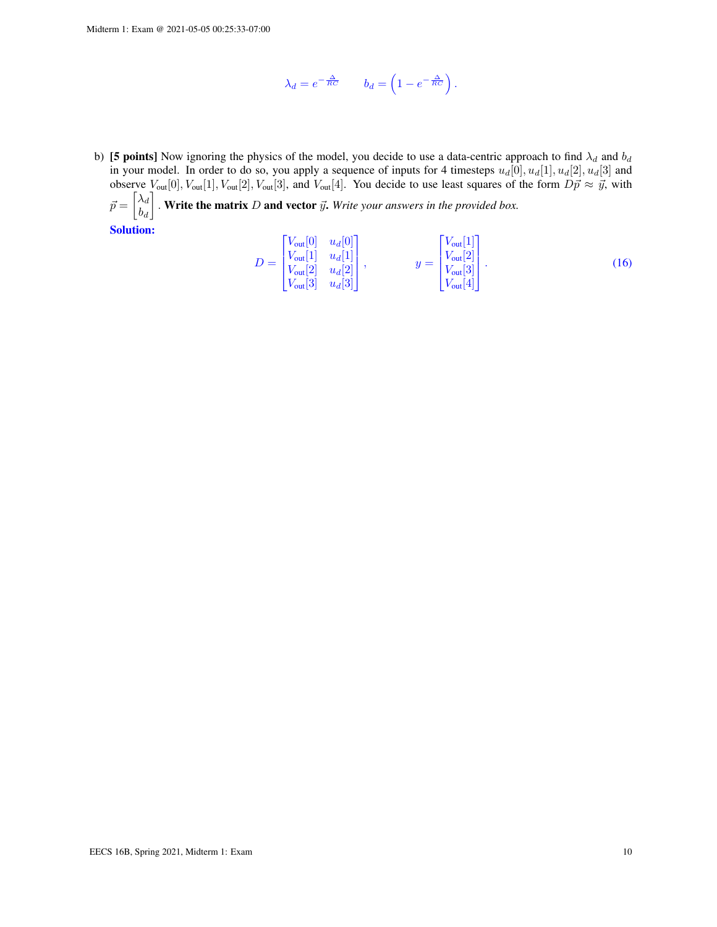$$
\lambda_d = e^{-\frac{\Delta}{RC}} \qquad b_d = \left(1 - e^{-\frac{\Delta}{RC}}\right).
$$

b) [5 points] Now ignoring the physics of the model, you decide to use a data-centric approach to find  $\lambda_d$  and  $b_d$ in your model. In order to do so, you apply a sequence of inputs for 4 timesteps  $u_d[0], u_d[1], u_d[2], u_d[3]$  and observe  $V_{\text{out}}[0], V_{\text{out}}[1], V_{\text{out}}[2], V_{\text{out}}[3]$ , and  $V_{\text{out}}[4]$ . You decide to use least squares of the form  $D\vec{p} \approx \vec{y}$ , with  $\vec{p} = \begin{bmatrix} \lambda_d \end{bmatrix}$  $b_d$ . Write the matrix D and vector  $\vec{y}$ . *Write your answers in the provided box.* 

Solution:

$$
D = \begin{bmatrix} V_{\text{out}}[0] & u_d[0] \\ V_{\text{out}}[1] & u_d[1] \\ V_{\text{out}}[2] & u_d[2] \\ V_{\text{out}}[3] & u_d[3] \end{bmatrix}, \qquad y = \begin{bmatrix} V_{\text{out}}[1] \\ V_{\text{out}}[2] \\ V_{\text{out}}[3] \\ V_{\text{out}}[4] \end{bmatrix}.
$$
 (16)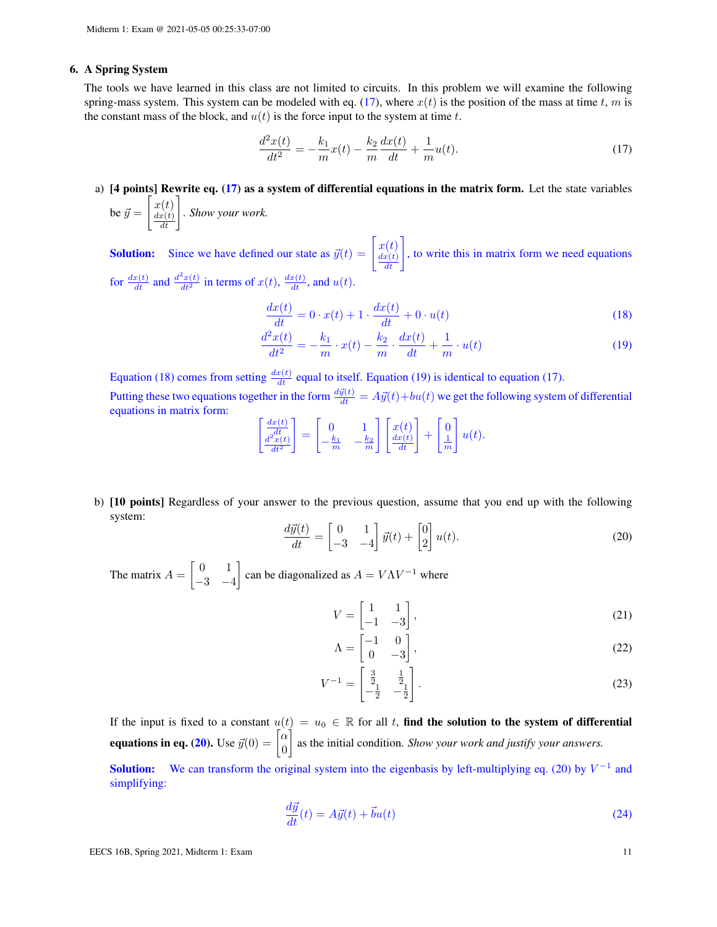#### 6. A Spring System

The tools we have learned in this class are not limited to circuits. In this problem we will examine the following spring-mass system. This system can be modeled with eq. [\(17\)](#page-10-0), where  $x(t)$  is the position of the mass at time t, m is the constant mass of the block, and  $u(t)$  is the force input to the system at time t.

<span id="page-10-0"></span>
$$
\frac{d^2x(t)}{dt^2} = -\frac{k_1}{m}x(t) - \frac{k_2}{m}\frac{dx(t)}{dt} + \frac{1}{m}u(t).
$$
\n(17)

a) [4 points] Rewrite eq. [\(17\)](#page-10-0) as a system of differential equations in the matrix form. Let the state variables be  $\vec{y} =$  $\int x(t)$  $dx(t)$  $\begin{bmatrix} t \ \frac{x(t)}{dt} \end{bmatrix}$ . *Show your work.*

**Solution:** Since we have defined our state as  $\vec{y}(t) = \begin{bmatrix} x(t) \\ dx(t) \end{bmatrix}$  $dx(t)$  $\left[\begin{matrix} t \ \frac{x(t)}{dt} \end{matrix}\right]$ , to write this in matrix form we need equations for  $\frac{dx(t)}{dt}$  and  $\frac{d^2x(t)}{dt^2}$  in terms of  $x(t)$ ,  $\frac{dx(t)}{dt}$ , and  $u(t)$ .

<span id="page-10-2"></span><span id="page-10-1"></span>
$$
\frac{dx(t)}{dt} = 0 \cdot x(t) + 1 \cdot \frac{dx(t)}{dt} + 0 \cdot u(t)
$$
\n(18)

$$
\frac{d^2x(t)}{dt^2} = -\frac{k_1}{m} \cdot x(t) - \frac{k_2}{m} \cdot \frac{dx(t)}{dt} + \frac{1}{m} \cdot u(t)
$$
\n(19)

Equation [\(18\)](#page-10-1) comes from setting  $\frac{dx(t)}{dt}$  equal to itself. Equation [\(19\)](#page-10-2) is identical to equation [\(17\)](#page-10-0). Putting these two equations together in the form  $\frac{d\vec{y}(t)}{dt} = A\vec{y}(t) + bu(t)$  we get the following system of differential equations in matrix form:

$$
\begin{bmatrix} \frac{dx(t)}{dt} \\ \frac{d^2x(t)}{dt^2} \end{bmatrix} = \begin{bmatrix} 0 & 1 \\ -\frac{k_1}{m} & -\frac{k_2}{m} \end{bmatrix} \begin{bmatrix} x(t) \\ \frac{dx(t)}{dt} \end{bmatrix} + \begin{bmatrix} 0 \\ \frac{1}{m} \end{bmatrix} u(t).
$$

b) [10 points] Regardless of your answer to the previous question, assume that you end up with the following system:

<span id="page-10-3"></span>
$$
\frac{d\vec{y}(t)}{dt} = \begin{bmatrix} 0 & 1 \\ -3 & -4 \end{bmatrix} \vec{y}(t) + \begin{bmatrix} 0 \\ 2 \end{bmatrix} u(t).
$$
\n(20)

The matrix  $A = \begin{bmatrix} 0 & 1 \\ 2 & 1 \end{bmatrix}$ −3 −4  $\Big]$  can be diagonalized as  $A = V \Lambda V^{-1}$  where

$$
V = \begin{bmatrix} 1 & 1 \\ -1 & -3 \end{bmatrix},\tag{21}
$$

$$
\Lambda = \begin{bmatrix} -1 & 0 \\ 0 & -3 \end{bmatrix},\tag{22}
$$

$$
V^{-1} = \begin{bmatrix} \frac{3}{2} & \frac{1}{2} \\ -\frac{1}{2} & -\frac{1}{2} \end{bmatrix} . \tag{23}
$$

If the input is fixed to a constant  $u(t) = u_0 \in \mathbb{R}$  for all t, find the solution to the system of differential equations in eq. [\(20\)](#page-10-3). Use  $\vec{y}(0) = \begin{bmatrix} \alpha & 0 \end{bmatrix}$ 0 as the initial condition. *Show your work and justify your answers.*

**Solution:** We can transform the original system into the eigenbasis by left-multiplying eq. [\(20\)](#page-10-3) by  $V^{-1}$  and simplifying:

$$
\frac{d\vec{y}}{dt}(t) = A\vec{y}(t) + \vec{b}u(t)
$$
\n(24)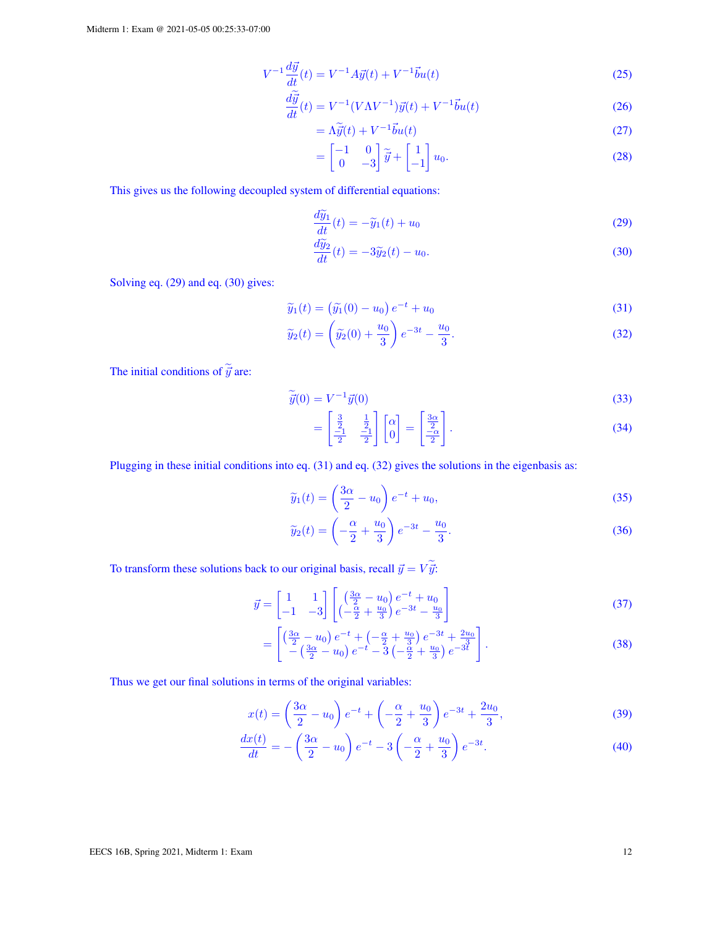$$
V^{-1}\frac{d\vec{y}}{dt}(t) = V^{-1}A\vec{y}(t) + V^{-1}\vec{b}u(t)
$$
\n(25)

$$
\frac{d\vec{y}}{dt}(t) = V^{-1}(V\Lambda V^{-1})\vec{y}(t) + V^{-1}\vec{b}u(t)
$$
\n(26)

$$
= \Lambda \widetilde{y}(t) + V^{-1} \vec{b} u(t) \tag{27}
$$

$$
= \begin{bmatrix} -1 & 0 \\ 0 & -3 \end{bmatrix} \widetilde{y} + \begin{bmatrix} 1 \\ -1 \end{bmatrix} u_0.
$$
 (28)

This gives us the following decoupled system of differential equations:

<span id="page-11-1"></span><span id="page-11-0"></span>
$$
\frac{d\tilde{y}_1}{dt}(t) = -\tilde{y}_1(t) + u_0\tag{29}
$$

<span id="page-11-3"></span><span id="page-11-2"></span>
$$
\frac{dy_2}{dt}(t) = -3\tilde{y}_2(t) - u_0.
$$
\n(30)

Solving eq. [\(29\)](#page-11-0) and eq. [\(30\)](#page-11-1) gives:

$$
\widetilde{y}_1(t) = (\widetilde{y}_1(0) - u_0) e^{-t} + u_0
$$
\n(31)

$$
\widetilde{y}_2(t) = \left(\widetilde{y}_2(0) + \frac{u_0}{3}\right)e^{-3t} - \frac{u_0}{3}.
$$
\n(32)

The initial conditions of  $\widetilde{\vec{y}}$  are:

$$
\widetilde{\vec{y}}(0) = V^{-1}\vec{y}(0) \tag{33}
$$

$$
= \begin{bmatrix} \frac{3}{2} & \frac{1}{2} \\ \frac{-1}{2} & \frac{-1}{2} \end{bmatrix} \begin{bmatrix} \alpha \\ 0 \end{bmatrix} = \begin{bmatrix} \frac{3\alpha}{2} \\ \frac{-\alpha}{2} \end{bmatrix} . \tag{34}
$$

Plugging in these initial conditions into eq. [\(31\)](#page-11-2) and eq. [\(32\)](#page-11-3) gives the solutions in the eigenbasis as:

$$
\widetilde{y}_1(t) = \left(\frac{3\alpha}{2} - u_0\right)e^{-t} + u_0,\tag{35}
$$

$$
\widetilde{y}_2(t) = \left(-\frac{\alpha}{2} + \frac{u_0}{3}\right)e^{-3t} - \frac{u_0}{3}.
$$
\n(36)

To transform these solutions back to our original basis, recall  $\vec{y} = V \tilde{\vec{y}}$ :

$$
\vec{y} = \begin{bmatrix} 1 & 1 \\ -1 & -3 \end{bmatrix} \begin{bmatrix} \left(\frac{3\alpha}{2} - u_0\right)e^{-t} + u_0 \\ \left(-\frac{\alpha}{2} + \frac{u_0}{3}\right)e^{-3t} - \frac{u_0}{3} \end{bmatrix}
$$
(37)

$$
= \left[ \frac{\left(\frac{3\alpha}{2} - u_0\right)e^{-t} + \left(-\frac{\alpha}{2} + \frac{u_0}{3}\right)e^{-3t} + \frac{2u_0}{3}}{-\left(\frac{3\alpha}{2} - u_0\right)e^{-t} - 3\left(-\frac{\alpha}{2} + \frac{u_0}{3}\right)e^{-3t}} \right].
$$
\n(38)

Thus we get our final solutions in terms of the original variables:

$$
x(t) = \left(\frac{3\alpha}{2} - u_0\right)e^{-t} + \left(-\frac{\alpha}{2} + \frac{u_0}{3}\right)e^{-3t} + \frac{2u_0}{3},\tag{39}
$$

$$
\frac{dx(t)}{dt} = -\left(\frac{3\alpha}{2} - u_0\right)e^{-t} - 3\left(-\frac{\alpha}{2} + \frac{u_0}{3}\right)e^{-3t}.\tag{40}
$$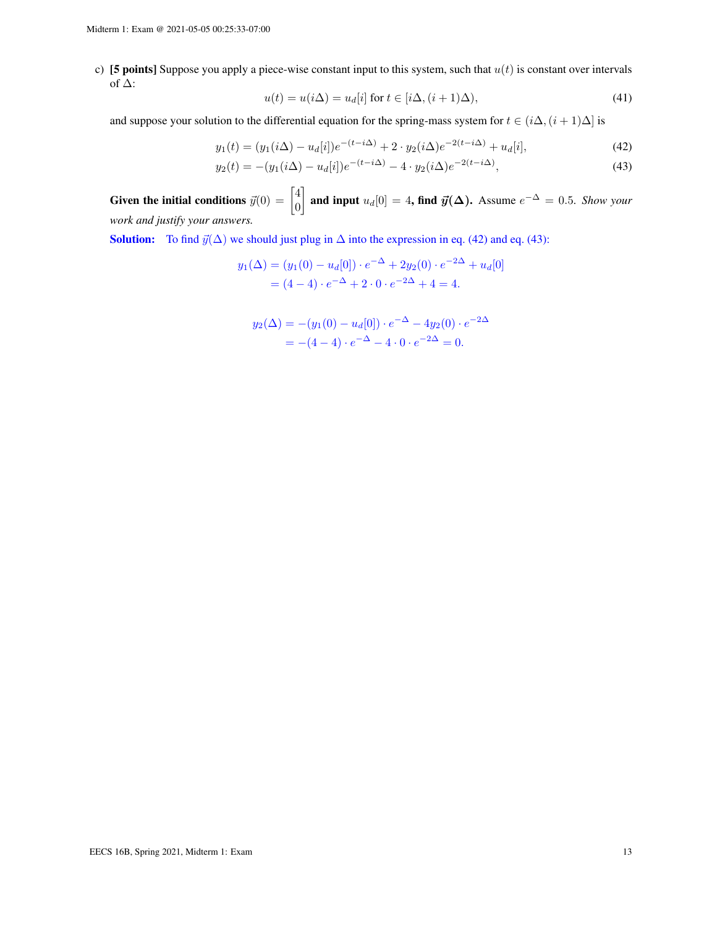c) [5 points] Suppose you apply a piece-wise constant input to this system, such that  $u(t)$  is constant over intervals of ∆:

<span id="page-12-1"></span><span id="page-12-0"></span>
$$
u(t) = u(i\Delta) = u_d[i] \text{ for } t \in [i\Delta, (i+1)\Delta), \tag{41}
$$

and suppose your solution to the differential equation for the spring-mass system for  $t \in (i\Delta, (i+1)\Delta]$  is

$$
y_1(t) = (y_1(i\Delta) - u_d[i])e^{-(t-i\Delta)} + 2 \cdot y_2(i\Delta)e^{-2(t-i\Delta)} + u_d[i],
$$
\n(42)

$$
y_2(t) = -(y_1(i\Delta) - u_d[i])e^{-(t-i\Delta)} - 4 \cdot y_2(i\Delta)e^{-2(t-i\Delta)}, \tag{43}
$$

Given the initial conditions  $\vec{y}(0) = \begin{bmatrix} 4 \\ 0 \end{bmatrix}$ 0 **and input**  $u_d[0] = 4$ , find  $\vec{y}(\Delta)$ . Assume  $e^{-\Delta} = 0.5$ . *Show your work and justify your answers.*

**Solution:** To find  $\vec{y}(\Delta)$  we should just plug in  $\Delta$  into the expression in eq. [\(42\)](#page-12-0) and eq. [\(43\)](#page-12-1):

$$
y_1(\Delta) = (y_1(0) - u_d[0]) \cdot e^{-\Delta} + 2y_2(0) \cdot e^{-2\Delta} + u_d[0]
$$
  
=  $(4 - 4) \cdot e^{-\Delta} + 2 \cdot 0 \cdot e^{-2\Delta} + 4 = 4.$ 

$$
y_2(\Delta) = -(y_1(0) - u_d[0]) \cdot e^{-\Delta} - 4y_2(0) \cdot e^{-2\Delta}
$$
  
= -(4 - 4) \cdot e^{-\Delta} - 4 \cdot 0 \cdot e^{-2\Delta} = 0.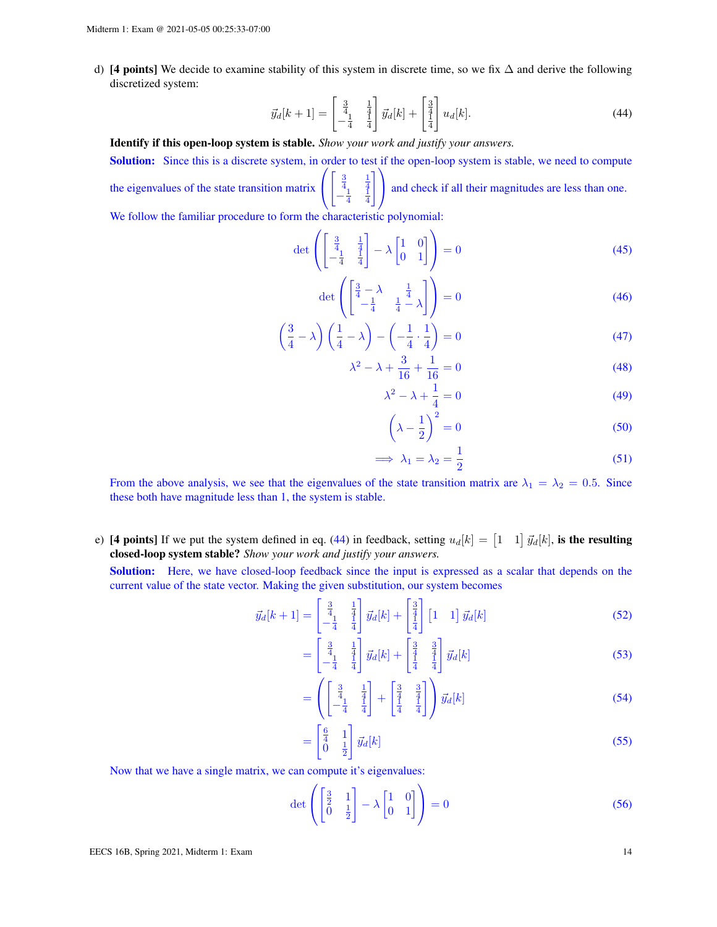d) [4 points] We decide to examine stability of this system in discrete time, so we fix  $\Delta$  and derive the following discretized system:

<span id="page-13-0"></span>
$$
\vec{y}_d[k+1] = \begin{bmatrix} \frac{3}{4} & \frac{1}{4} \\ -\frac{1}{4} & \frac{1}{4} \end{bmatrix} \vec{y}_d[k] + \begin{bmatrix} \frac{3}{4} \\ \frac{1}{4} \end{bmatrix} u_d[k]. \tag{44}
$$

Identify if this open-loop system is stable. *Show your work and justify your answers.*

Solution: Since this is a discrete system, in order to test if the open-loop system is stable, we need to compute  $\sqrt{ }$  $\bigcup$ 

the eigenvalues of the state transition matrix  $\begin{bmatrix} \frac{3}{4} & \frac{1}{4} \\ -\frac{1}{4} & \frac{1}{4} \end{bmatrix}$ and check if all their magnitudes are less than one.

We follow the familiar procedure to form the characteristic polynomial:

$$
\det\left(\begin{bmatrix} \frac{3}{4} & \frac{1}{4} \\ -\frac{1}{4} & \frac{1}{4} \end{bmatrix} - \lambda \begin{bmatrix} 1 & 0 \\ 0 & 1 \end{bmatrix}\right) = 0\tag{45}
$$

$$
\det\left(\begin{bmatrix} \frac{3}{4} - \lambda & \frac{1}{4} \\ -\frac{1}{4} & \frac{1}{4} - \lambda \end{bmatrix}\right) = 0\tag{46}
$$

$$
\left(\frac{3}{4} - \lambda\right)\left(\frac{1}{4} - \lambda\right) - \left(-\frac{1}{4} \cdot \frac{1}{4}\right) = 0\tag{47}
$$

$$
\lambda^2 - \lambda + \frac{3}{16} + \frac{1}{16} = 0
$$
\n(48)

$$
\lambda^2 - \lambda + \frac{1}{4} = 0\tag{49}
$$

$$
\left(\lambda - \frac{1}{2}\right)^2 = 0\tag{50}
$$

$$
\implies \lambda_1 = \lambda_2 = \frac{1}{2} \tag{51}
$$

From the above analysis, we see that the eigenvalues of the state transition matrix are  $\lambda_1 = \lambda_2 = 0.5$ . Since these both have magnitude less than 1, the system is stable.

e) [4 points] If we put the system defined in eq. [\(44\)](#page-13-0) in feedback, setting  $u_d[k] = \begin{bmatrix} 1 & 1 \end{bmatrix} \vec{y}_d[k]$ , is the resulting closed-loop system stable? *Show your work and justify your answers.*

Solution: Here, we have closed-loop feedback since the input is expressed as a scalar that depends on the current value of the state vector. Making the given substitution, our system becomes

$$
\vec{y}_d[k+1] = \begin{bmatrix} \frac{3}{4} & \frac{1}{4} \\ -\frac{1}{4} & \frac{1}{4} \end{bmatrix} \vec{y}_d[k] + \begin{bmatrix} \frac{3}{4} \\ \frac{1}{4} \end{bmatrix} \begin{bmatrix} 1 & 1 \end{bmatrix} \vec{y}_d[k]
$$
 (52)

$$
= \begin{bmatrix} \frac{3}{4} & \frac{1}{4} \\ -\frac{1}{4} & \frac{1}{4} \end{bmatrix} \vec{y}_d[k] + \begin{bmatrix} \frac{3}{4} & \frac{3}{4} \\ \frac{1}{4} & \frac{1}{4} \end{bmatrix} \vec{y}_d[k]
$$
 (53)

$$
= \left( \begin{bmatrix} \frac{3}{4} & \frac{1}{4} \\ -\frac{1}{4} & \frac{1}{4} \end{bmatrix} + \begin{bmatrix} \frac{3}{4} & \frac{3}{4} \\ \frac{1}{4} & \frac{1}{4} \end{bmatrix} \right) \vec{y}_d[k] \tag{54}
$$

$$
= \begin{bmatrix} \frac{6}{4} & 1\\ 0 & \frac{1}{2} \end{bmatrix} \vec{y}_d[k] \tag{55}
$$

Now that we have a single matrix, we can compute it's eigenvalues:

$$
\det\left(\begin{bmatrix} \frac{3}{2} & 1\\ 0 & \frac{1}{2} \end{bmatrix} - \lambda \begin{bmatrix} 1 & 0\\ 0 & 1 \end{bmatrix}\right) = 0\tag{56}
$$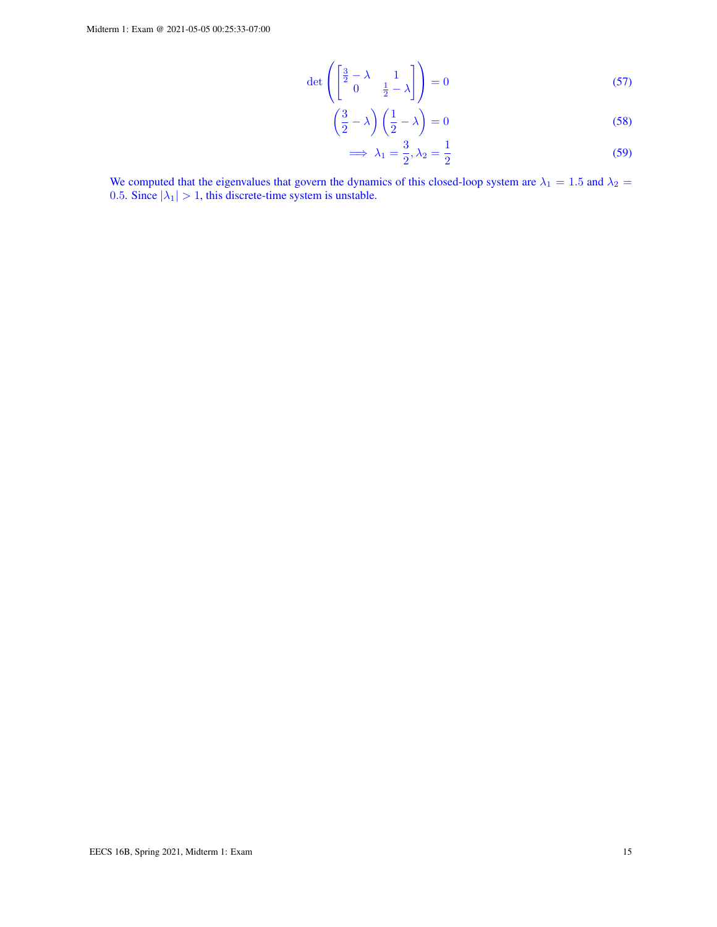$$
\det\left(\begin{bmatrix} \frac{3}{2} - \lambda & 1\\ 0 & \frac{1}{2} - \lambda \end{bmatrix}\right) = 0
$$
\n(57)

$$
\left(\frac{3}{2} - \lambda\right)\left(\frac{1}{2} - \lambda\right) = 0\tag{58}
$$

$$
\implies \lambda_1 = \frac{3}{2}, \lambda_2 = \frac{1}{2} \tag{59}
$$

We computed that the eigenvalues that govern the dynamics of this closed-loop system are  $\lambda_1 = 1.5$  and  $\lambda_2 =$ 0.5. Since  $|\lambda_1| > 1$ , this discrete-time system is unstable.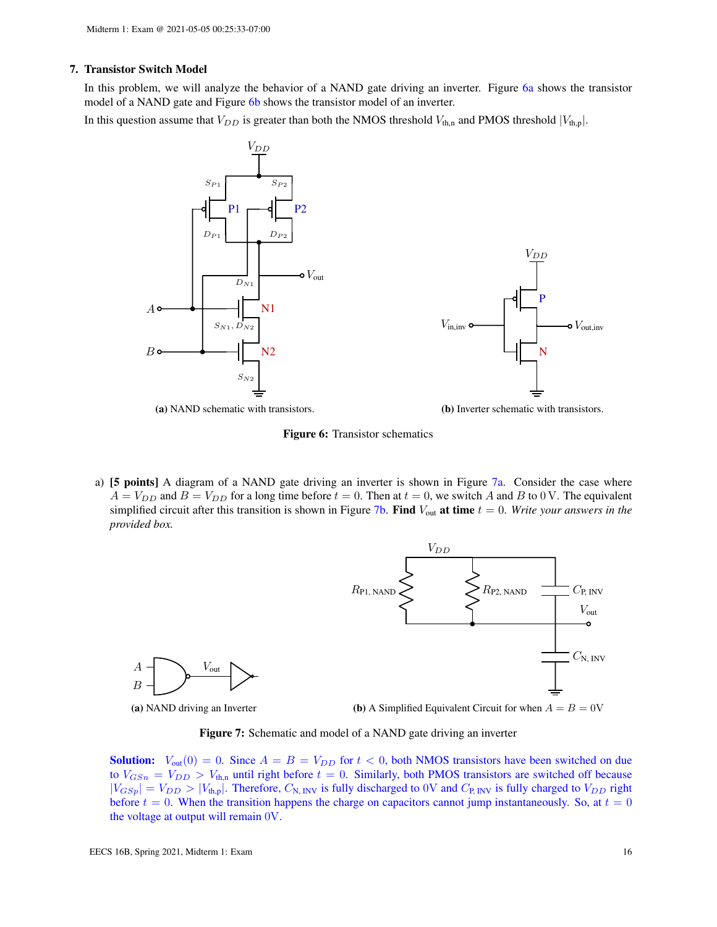#### 7. Transistor Switch Model

In this problem, we will analyze the behavior of a NAND gate driving an inverter. Figure [6a](#page-15-0) shows the transistor model of a NAND gate and Figure [6b](#page-15-0) shows the transistor model of an inverter.

<span id="page-15-0"></span>In this question assume that  $V_{DD}$  is greater than both the NMOS threshold  $V_{th,n}$  and PMOS threshold  $|V_{th,p}|$ .



(a) NAND schematic with transistors.



P

 $V_{\text{in,inv}}$   $\longrightarrow$   $V_{\text{out,inv}}$ 

Vdr

N

Figure 6: Transistor schematics

a) [5 points] A diagram of a NAND gate driving an inverter is shown in Figure [7a.](#page-15-1) Consider the case where  $A = V_{DD}$  and  $B = V_{DD}$  for a long time before  $t = 0$ . Then at  $t = 0$ , we switch A and B to 0 V. The equivalent simplified circuit after this transition is shown in Figure [7b.](#page-15-1) Find  $V_{\text{out}}$  at time  $t = 0$ . *Write your answers in the provided box.*

<span id="page-15-1"></span>

Figure 7: Schematic and model of a NAND gate driving an inverter

**Solution:**  $V_{out}(0) = 0$ . Since  $A = B = V_{DD}$  for  $t < 0$ , both NMOS transistors have been switched on due to  $V_{GSn} = V_{DD} > V_{th,n}$  until right before  $t = 0$ . Similarly, both PMOS transistors are switched off because  $|V_{GSp}| = V_{DD} > |V_{th,p}|$ . Therefore,  $C_{\text{N, INV}}$  is fully discharged to 0V and  $C_{\text{P, INV}}$  is fully charged to  $V_{DD}$  right before  $t = 0$ . When the transition happens the charge on capacitors cannot jump instantaneously. So, at  $t = 0$ the voltage at output will remain 0V.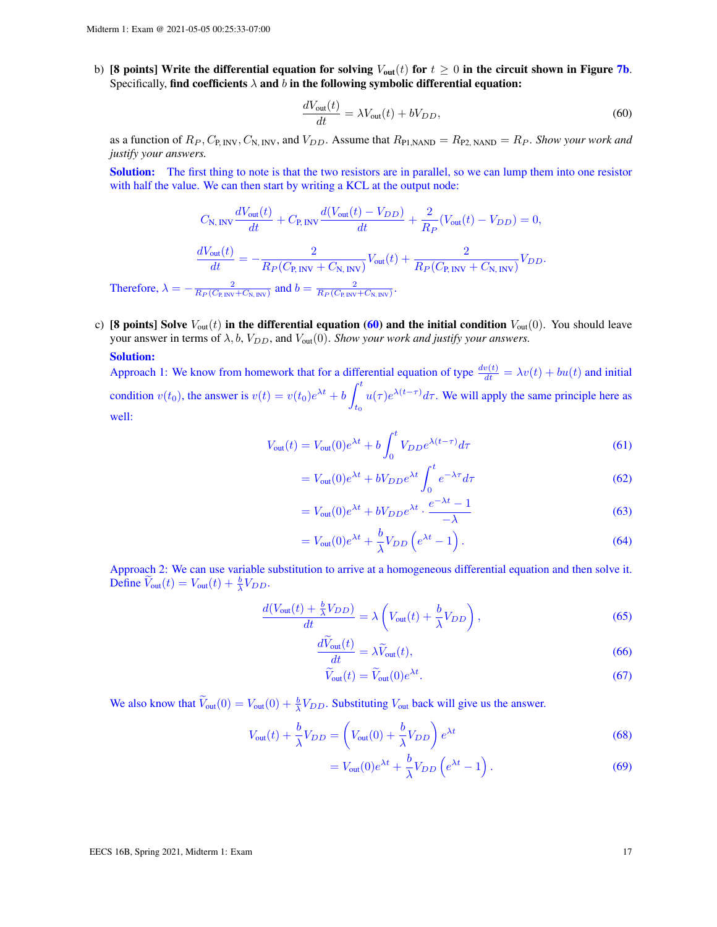b) [8 points] Write the differential equation for solving  $V_{out}(t)$  for  $t \ge 0$  in the circuit shown in Figure [7b](#page-15-1). Specifically, find coefficients  $\lambda$  and  $b$  in the following symbolic differential equation:

<span id="page-16-0"></span>
$$
\frac{dV_{\text{out}}(t)}{dt} = \lambda V_{\text{out}}(t) + bV_{DD},\tag{60}
$$

as a function of  $R_P$ ,  $C_{\rm P,INV}$ ,  $C_{\rm N,INV}$ , and  $V_{DD}$ . Assume that  $R_{\rm P1,NAND} = R_{\rm P2, NAND} = R_P$ . *Show your work and justify your answers.*

Solution: The first thing to note is that the two resistors are in parallel, so we can lump them into one resistor with half the value. We can then start by writing a KCL at the output node:

$$
C_{\text{N, INV}}\frac{dV_{\text{out}}(t)}{dt} + C_{\text{P, INV}}\frac{d(V_{\text{out}}(t) - V_{DD})}{dt} + \frac{2}{R_P}(V_{\text{out}}(t) - V_{DD}) = 0,
$$

$$
\frac{dV_{\text{out}}(t)}{dt} = -\frac{2}{R_P(C_{\text{P, INV}} + C_{\text{N, INV}})}V_{\text{out}}(t) + \frac{2}{R_P(C_{\text{P, INV}} + C_{\text{N, INV}})}V_{DD}.
$$
Therefore,  $\lambda = -\frac{2}{R_P(C_{\text{P,INV}} + C_{\text{N, INV}})}$  and  $b = \frac{2}{R_P(C_{\text{P,INV}} + C_{\text{N, INV}})}$ .

c) [8 points] Solve  $V_{\text{out}}(t)$  in the differential equation [\(60\)](#page-16-0) and the initial condition  $V_{\text{out}}(0)$ . You should leave your answer in terms of  $\lambda$ ,  $b$ ,  $V_{DD}$ , and  $V_{out}(0)$ . *Show your work and justify your answers.* 

#### Solution:

Approach 1: We know from homework that for a differential equation of type  $\frac{dv(t)}{dt} = \lambda v(t) + bu(t)$  and initial condition  $v(t_0)$ , the answer is  $v(t) = v(t_0)e^{\lambda t} + b \int_0^t$  $t_{0}$  $u(\tau) e^{\lambda(t-\tau)} d\tau$ . We will apply the same principle here as well:

$$
V_{\text{out}}(t) = V_{\text{out}}(0)e^{\lambda t} + b \int_0^t V_{D D} e^{\lambda (t-\tau)} d\tau
$$
\n(61)

$$
=V_{\text{out}}(0)e^{\lambda t} + bV_{D}e^{\lambda t} \int_0^t e^{-\lambda \tau} d\tau \tag{62}
$$

$$
= V_{\text{out}}(0)e^{\lambda t} + bV_{DD}e^{\lambda t} \cdot \frac{e^{-\lambda t} - 1}{-\lambda} \tag{63}
$$

$$
= V_{\text{out}}(0)e^{\lambda t} + \frac{b}{\lambda}V_{DD}\left(e^{\lambda t} - 1\right). \tag{64}
$$

Approach 2: We can use variable substitution to arrive at a homogeneous differential equation and then solve it. Define  $\widetilde{V}_{\text{out}}(t) = V_{\text{out}}(t) + \frac{b}{\lambda} V_{DD}$ .

$$
\frac{d(V_{\text{out}}(t) + \frac{b}{\lambda}V_{DD})}{dt} = \lambda \left(V_{\text{out}}(t) + \frac{b}{\lambda}V_{DD}\right),\tag{65}
$$

$$
\frac{dV_{\text{out}}(t)}{dt} = \lambda \widetilde{V}_{\text{out}}(t),\tag{66}
$$

$$
\widetilde{V}_{\text{out}}(t) = \widetilde{V}_{\text{out}}(0)e^{\lambda t}.\tag{67}
$$

We also know that  $\tilde{V}_{out}(0) = V_{out}(0) + \frac{b}{\lambda} V_{DD}$ . Substituting  $V_{out}$  back will give us the answer.

$$
V_{\text{out}}(t) + \frac{b}{\lambda} V_{DD} = \left( V_{\text{out}}(0) + \frac{b}{\lambda} V_{DD} \right) e^{\lambda t}
$$
 (68)

$$
= V_{\text{out}}(0)e^{\lambda t} + \frac{b}{\lambda}V_{DD}\left(e^{\lambda t} - 1\right). \tag{69}
$$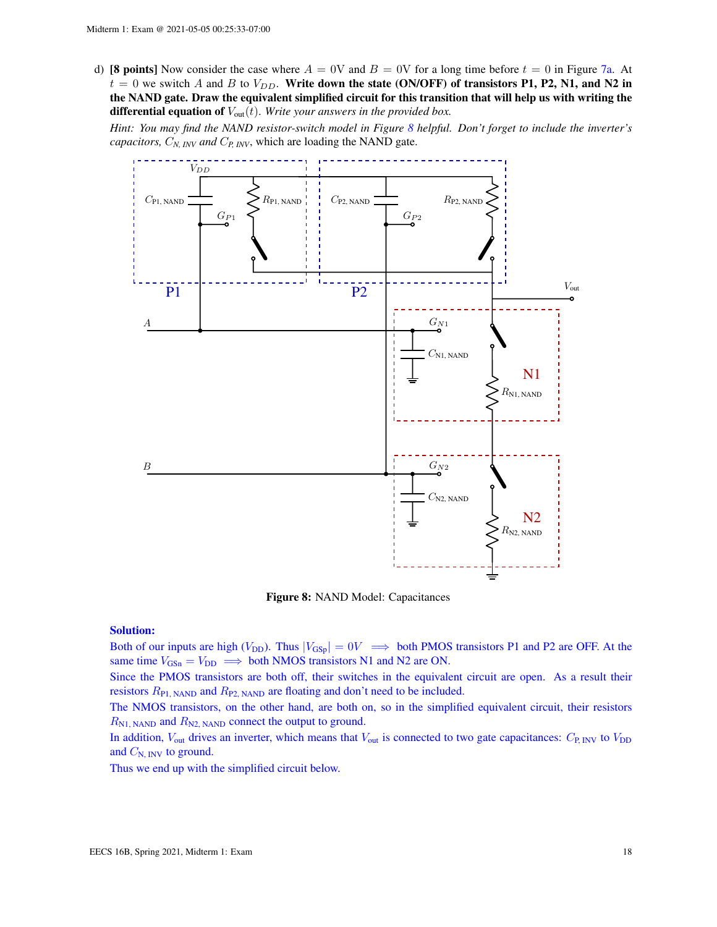d) [8 points] Now consider the case where  $A = 0V$  and  $B = 0V$  for a long time before  $t = 0$  in Figure [7a.](#page-15-1) At  $t = 0$  we switch A and B to  $V_{DD}$ . Write down the state (ON/OFF) of transistors P1, P2, N1, and N2 in the NAND gate. Draw the equivalent simplified circuit for this transition that will help us with writing the **differential equation of**  $V_{\text{out}}(t)$ . *Write your answers in the provided box.* 

<span id="page-17-0"></span>*Hint: You may find the NAND resistor-switch model in Figure [8](#page-17-0) helpful. Don't forget to include the inverter's capacitors,*  $C_{N, \text{INV}}$  *and*  $C_{P, \text{INV}}$ , which are loading the NAND gate.



Figure 8: NAND Model: Capacitances

# Solution:

Both of our inputs are high ( $V_{\text{DD}}$ ). Thus  $|V_{\text{GSp}}| = 0V \implies$  both PMOS transistors P1 and P2 are OFF. At the same time  $V_{\text{GSn}} = V_{\text{DD}} \implies$  both NMOS transistors N1 and N2 are ON.

Since the PMOS transistors are both off, their switches in the equivalent circuit are open. As a result their resistors  $R_{\text{Pl, NAND}}$  and  $R_{\text{P2, NAND}}$  are floating and don't need to be included.

The NMOS transistors, on the other hand, are both on, so in the simplified equivalent circuit, their resistors  $R_{\text{N1, NAND}}$  and  $R_{\text{N2, NAND}}$  connect the output to ground.

In addition,  $V_{\text{out}}$  drives an inverter, which means that  $V_{\text{out}}$  is connected to two gate capacitances:  $C_{\text{P,INV}}$  to  $V_{\text{DD}}$ and  $C_{\text{N, INV}}$  to ground.

Thus we end up with the simplified circuit below.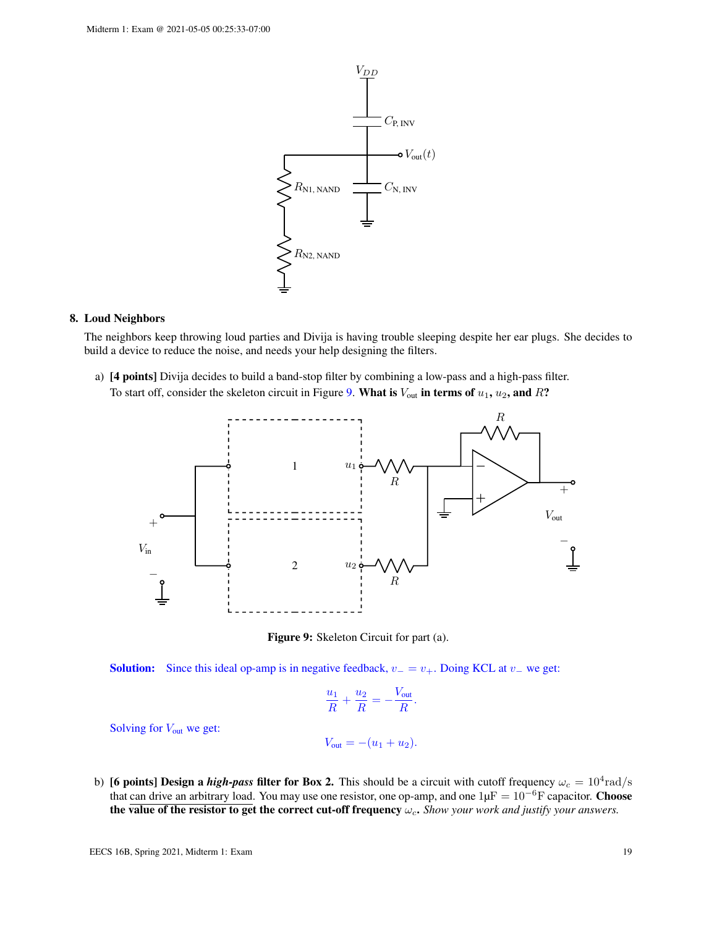

#### 8. Loud Neighbors

The neighbors keep throwing loud parties and Divija is having trouble sleeping despite her ear plugs. She decides to build a device to reduce the noise, and needs your help designing the filters.

<span id="page-18-0"></span>a) [4 points] Divija decides to build a band-stop filter by combining a low-pass and a high-pass filter. To start off, consider the skeleton circuit in Figure [9.](#page-18-0) What is  $V_{\text{out}}$  in terms of  $u_1, u_2$ , and  $R$ ?



Figure 9: Skeleton Circuit for part (a).

**Solution:** Since this ideal op-amp is in negative feedback,  $v = v_+$ . Doing KCL at  $v_-$  we get:

$$
\frac{u_1}{R} + \frac{u_2}{R} = -\frac{V_{\text{out}}}{R}.
$$

Solving for  $V_{\text{out}}$  we get:

 $V_{\text{out}} = -(u_1 + u_2).$ 

b) **[6 points] Design a** *high-pass* **filter for Box 2.** This should be a circuit with cutoff frequency  $\omega_c = 10^4$  rad/s that can drive an arbitrary load. You may use one resistor, one op-amp, and one  $1\mu F = 10^{-6}F$  capacitor. Choose the value of the resistor to get the correct cut-off frequency  $\omega_c$ . *Show your work and justify your answers.*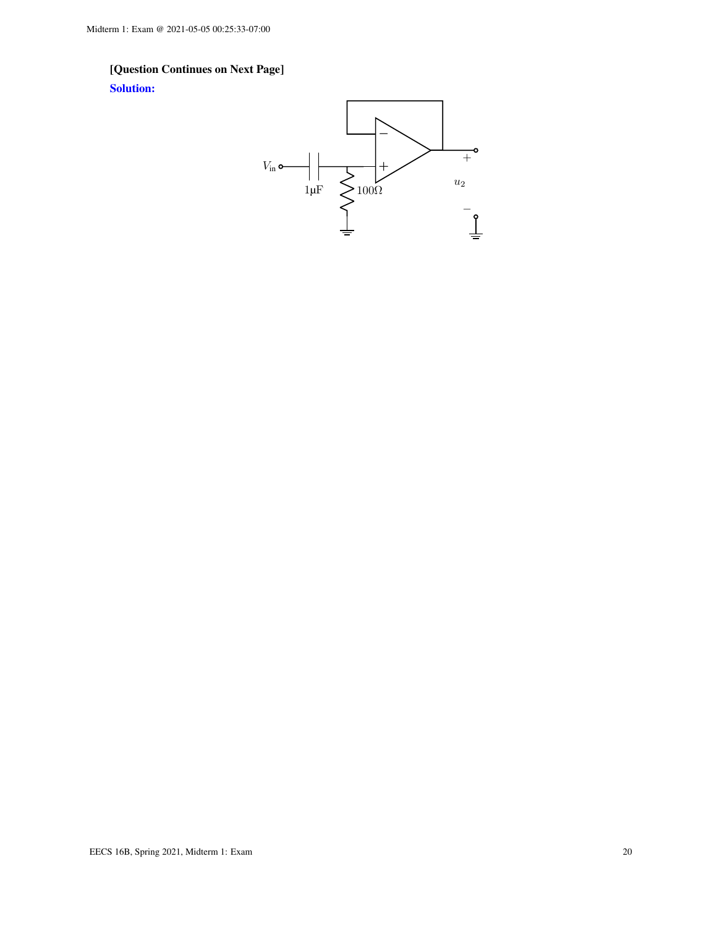# [Question Continues on Next Page]

Solution:

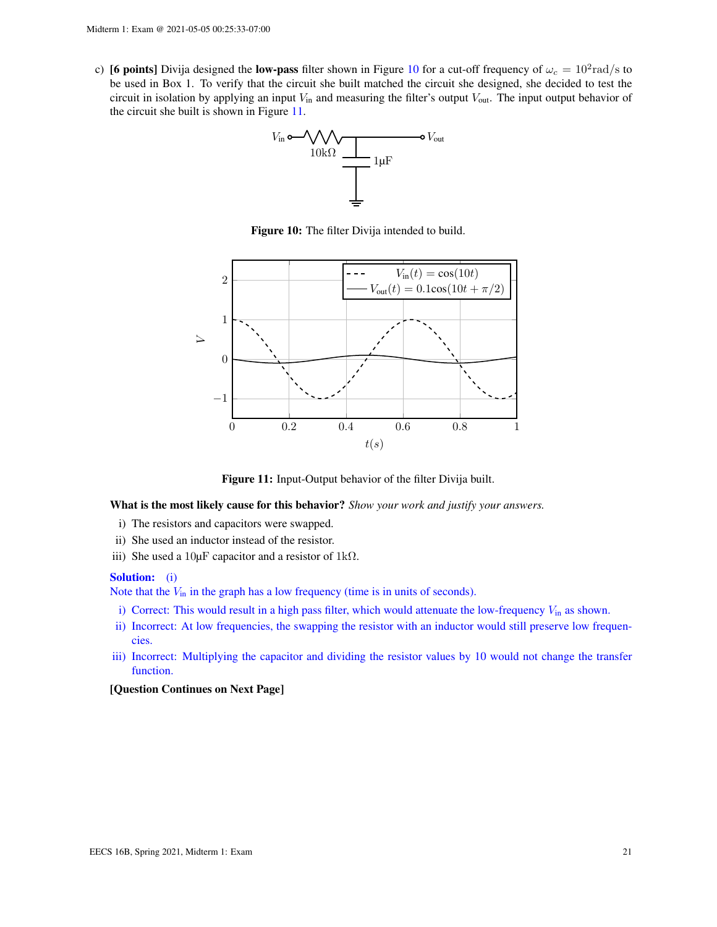<span id="page-20-0"></span>c) **[6 points]** Divija designed the **low-pass** filter shown in Figure [10](#page-20-0) for a cut-off frequency of  $\omega_c = 10^2 \text{rad/s}$  to be used in Box 1. To verify that the circuit she built matched the circuit she designed, she decided to test the circuit in isolation by applying an input  $V_{\text{in}}$  and measuring the filter's output  $V_{\text{out}}$ . The input output behavior of the circuit she built is shown in Figure [11.](#page-20-1)



Figure 10: The filter Divija intended to build.

<span id="page-20-1"></span>

Figure 11: Input-Output behavior of the filter Divija built.

What is the most likely cause for this behavior? *Show your work and justify your answers.*

- i) The resistors and capacitors were swapped.
- ii) She used an inductor instead of the resistor.
- iii) She used a  $10\mu$ F capacitor and a resistor of 1kΩ.

#### Solution: (i)

Note that the  $V_{\text{in}}$  in the graph has a low frequency (time is in units of seconds).

- i) Correct: This would result in a high pass filter, which would attenuate the low-frequency  $V_{in}$  as shown.
- ii) Incorrect: At low frequencies, the swapping the resistor with an inductor would still preserve low frequencies.
- iii) Incorrect: Multiplying the capacitor and dividing the resistor values by 10 would not change the transfer function.

## [Question Continues on Next Page]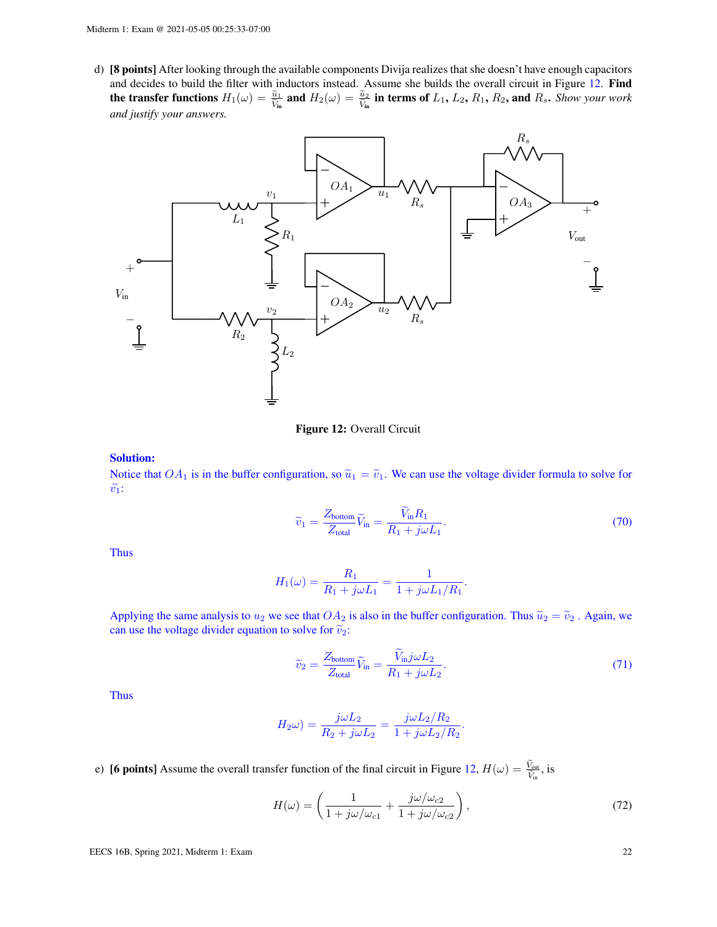d) [8 points] After looking through the available components Divija realizes that she doesn't have enough capacitors and decides to build the filter with inductors instead. Assume she builds the overall circuit in Figure [12.](#page-21-0) Find the transfer functions  $H_1(\omega) = \frac{\tilde{u}_1}{\tilde{V}_{\text{in}}}$  and  $H_2(\omega) = \frac{\tilde{u}_2}{\tilde{V}_{\text{in}}}$  in terms of  $L_1$ ,  $L_2$ ,  $R_1$ ,  $R_2$ , and  $R_s$ . *Show your work and justify your answers.*

<span id="page-21-0"></span>

Figure 12: Overall Circuit

#### Solution:

Notice that  $OA_1$  is in the buffer configuration, so  $\tilde{u}_1 = \tilde{v}_1$ . We can use the voltage divider formula to solve for  $\widetilde{v_1}$ :

$$
\widetilde{v}_1 = \frac{Z_{\text{bottom}}}{Z_{\text{total}}} \widetilde{V}_{\text{in}} = \frac{\widetilde{V}_{\text{in}} R_1}{R_1 + j\omega L_1}.
$$
\n(70)

Thus

$$
H_1(\omega) = \frac{R_1}{R_1 + j\omega L_1} = \frac{1}{1 + j\omega L_1/R_1}.
$$

Applying the same analysis to  $u_2$  we see that  $OA_2$  is also in the buffer configuration. Thus  $\tilde{u}_2 = \tilde{v}_2$ . Again, we can use the voltage divider equation to solve for  $\tilde{v}_2$ :

$$
\widetilde{v}_2 = \frac{Z_{\text{bottom}}}{Z_{\text{total}}} \widetilde{V}_{\text{in}} = \frac{\widetilde{V}_{\text{in}} j \omega L_2}{R_1 + j \omega L_2}.
$$
\n(71)

Thus

$$
H_2\omega) = \frac{j\omega L_2}{R_2 + j\omega L_2} = \frac{j\omega L_2/R_2}{1 + j\omega L_2/R_2}.
$$

e) **[6 points]** Assume the overall transfer function of the final circuit in Figure [12,](#page-21-0)  $H(\omega) = \frac{V_{\text{out}}}{\tilde{V}_{\text{in}}}$ , is

$$
H(\omega) = \left(\frac{1}{1 + j\omega/\omega_{c1}} + \frac{j\omega/\omega_{c2}}{1 + j\omega/\omega_{c2}}\right),\tag{72}
$$